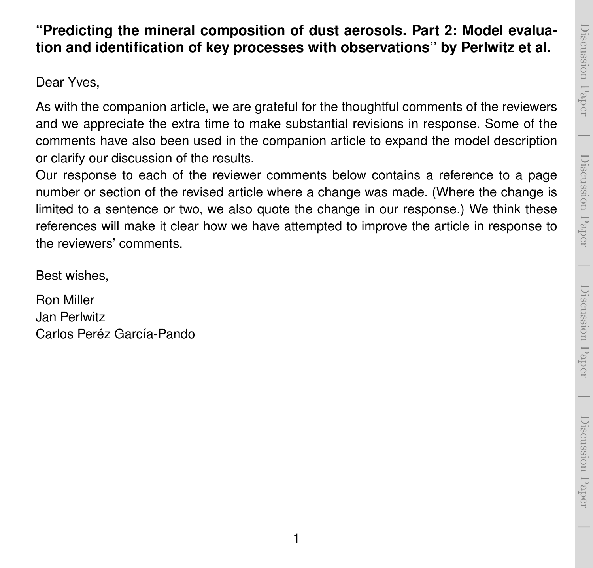# Discussion PaperDiscussion Paper

 $\overline{\phantom{a}}$ 

## **"Predicting the mineral composition of dust aerosols. Part 2: Model evaluation and identification of key processes with observations" by Perlwitz et al.**

Dear Yves,

As with the companion article, we are grateful for the thoughtful comments of the reviewers and we appreciate the extra time to make substantial revisions in response. Some of the comments have also been used in the companion article to expand the model description or clarify our discussion of the results.

Our response to each of the reviewer comments below contains a reference to a page number or section of the revised article where a change was made. (Where the change is limited to a sentence or two, we also quote the change in our response.) We think these references will make it clear how we have attempted to improve the article in response to the reviewers' comments.

Best wishes,

Ron Miller Jan Perlwitz Carlos Peréz García-Pando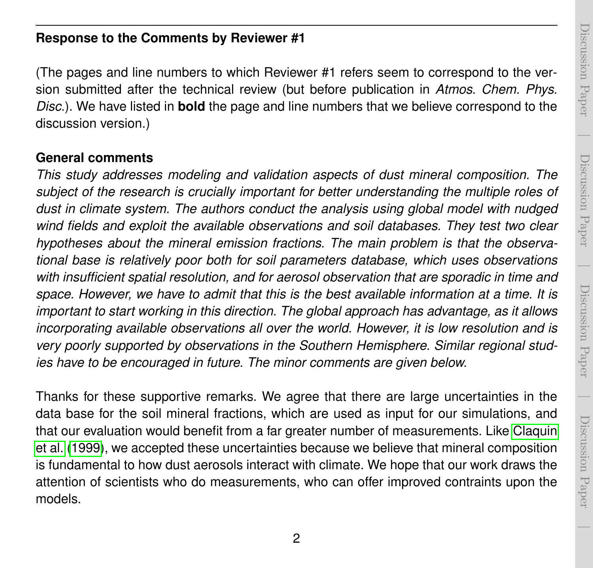# Discussion PaperDiscussion Paper

 $\overline{\phantom{a}}$ 

### **Response to the Comments by Reviewer #1**

(The pages and line numbers to which Reviewer #1 refers seem to correspond to the version submitted after the technical review (but before publication in *Atmos. Chem. Phys. Disc.*). We have listed in **bold** the page and line numbers that we believe correspond to the discussion version.)

#### **General comments**

*This study addresses modeling and validation aspects of dust mineral composition. The subject of the research is crucially important for better understanding the multiple roles of dust in climate system. The authors conduct the analysis using global model with nudged wind fields and exploit the available observations and soil databases. They test two clear hypotheses about the mineral emission fractions. The main problem is that the observational base is relatively poor both for soil parameters database, which uses observations with insufficient spatial resolution, and for aerosol observation that are sporadic in time and space. However, we have to admit that this is the best available information at a time. It is important to start working in this direction. The global approach has advantage, as it allows incorporating available observations all over the world. However, it is low resolution and is very poorly supported by observations in the Southern Hemisphere. Similar regional studies have to be encouraged in future. The minor comments are given below.*

Thanks for these supportive remarks. We agree that there are large uncertainties in the data base for the soil mineral fractions, which are used as input for our simulations, and that our evaluation would benefit from a far greater number of measurements. Like [Claquin](#page-12-0) [et al.](#page-12-0) [\(1999\)](#page-12-0), we accepted these uncertainties because we believe that mineral composition is fundamental to how dust aerosols interact with climate. We hope that our work draws the attention of scientists who do measurements, who can offer improved contraints upon the models.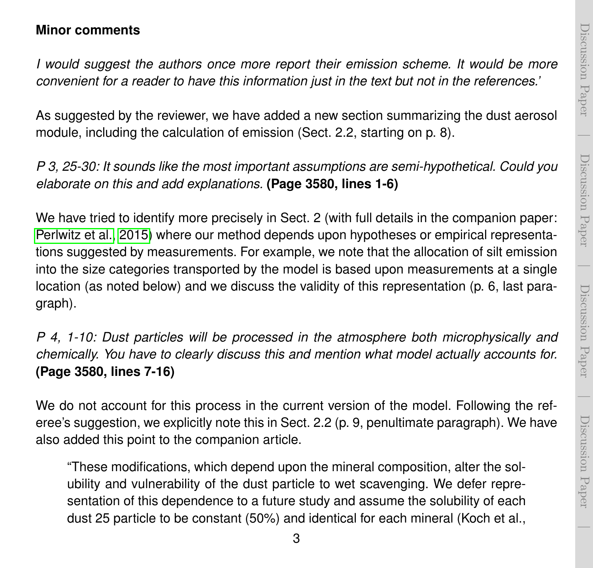# Discussion PaperDiscussion Paper

 $\overline{\phantom{a}}$ 

 $\overline{\phantom{a}}$ 

#### **Minor comments**

*I would suggest the authors once more report their emission scheme. It would be more convenient for a reader to have this information just in the text but not in the references.'*

As suggested by the reviewer, we have added a new section summarizing the dust aerosol module, including the calculation of emission (Sect. 2.2, starting on p. 8).

*P 3, 25-30: It sounds like the most important assumptions are semi-hypothetical. Could you elaborate on this and add explanations.* **(Page 3580, lines 1-6)**

We have tried to identify more precisely in Sect. 2 (with full details in the companion paper: [Perlwitz et al., 2015\)](#page-14-0) where our method depends upon hypotheses or empirical representations suggested by measurements. For example, we note that the allocation of silt emission into the size categories transported by the model is based upon measurements at a single location (as noted below) and we discuss the validity of this representation (p. 6, last paragraph).

*P 4, 1-10: Dust particles will be processed in the atmosphere both microphysically and chemically. You have to clearly discuss this and mention what model actually accounts for.* **(Page 3580, lines 7-16)**

We do not account for this process in the current version of the model. Following the referee's suggestion, we explicitly note this in Sect. 2.2 (p. 9, penultimate paragraph). We have also added this point to the companion article.

"These modifications, which depend upon the mineral composition, alter the solubility and vulnerability of the dust particle to wet scavenging. We defer representation of this dependence to a future study and assume the solubility of each dust 25 particle to be constant (50%) and identical for each mineral (Koch et al.,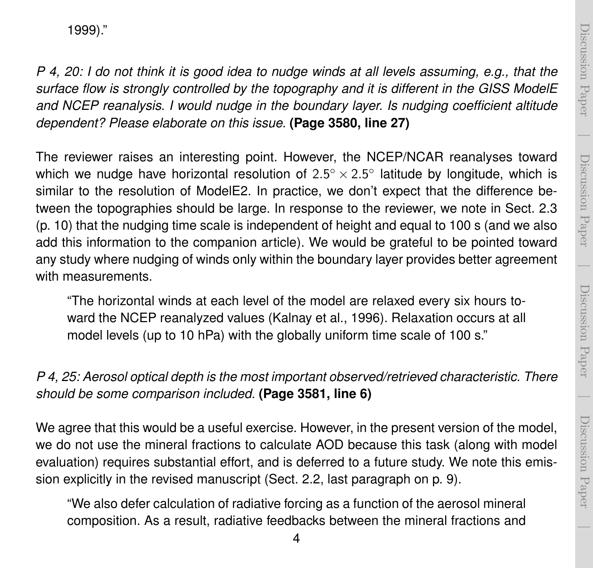$\overline{\phantom{a}}$ 

1999)."

*P 4, 20: I do not think it is good idea to nudge winds at all levels assuming, e.g., that the surface flow is strongly controlled by the topography and it is different in the GISS ModelE and NCEP reanalysis. I would nudge in the boundary layer. Is nudging coefficient altitude dependent? Please elaborate on this issue.* **(Page 3580, line 27)**

The reviewer raises an interesting point. However, the NCEP/NCAR reanalyses toward which we nudge have horizontal resolution of  $2.5^{\circ} \times 2.5^{\circ}$  latitude by longitude, which is similar to the resolution of ModelE2. In practice, we don't expect that the difference between the topographies should be large. In response to the reviewer, we note in Sect. 2.3 (p. 10) that the nudging time scale is independent of height and equal to 100 s (and we also add this information to the companion article). We would be grateful to be pointed toward any study where nudging of winds only within the boundary layer provides better agreement with measurements.

"The horizontal winds at each level of the model are relaxed every six hours toward the NCEP reanalyzed values (Kalnay et al., 1996). Relaxation occurs at all model levels (up to 10 hPa) with the globally uniform time scale of 100 s."

### *P 4, 25: Aerosol optical depth is the most important observed/retrieved characteristic. There should be some comparison included.* **(Page 3581, line 6)**

We agree that this would be a useful exercise. However, in the present version of the model, we do not use the mineral fractions to calculate AOD because this task (along with model evaluation) requires substantial effort, and is deferred to a future study. We note this emission explicitly in the revised manuscript (Sect. 2.2, last paragraph on p. 9).

"We also defer calculation of radiative forcing as a function of the aerosol mineral composition. As a result, radiative feedbacks between the mineral fractions and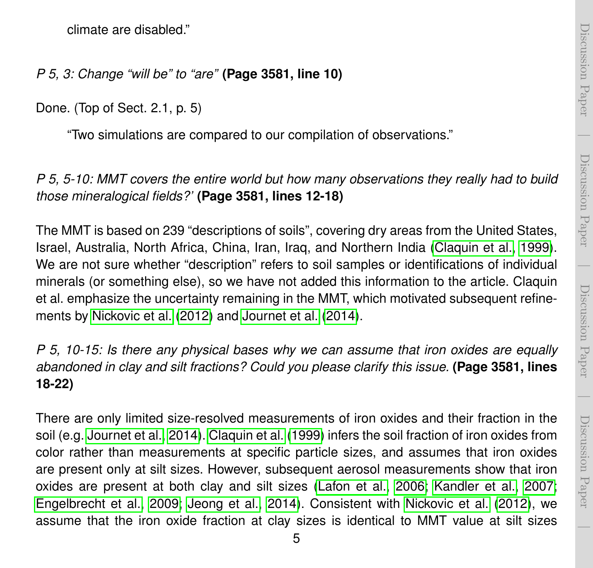$\overline{\phantom{a}}$ 

climate are disabled."

*P 5, 3: Change "will be" to "are"* **(Page 3581, line 10)**

Done. (Top of Sect. 2.1, p. 5)

"Two simulations are compared to our compilation of observations."

*P 5, 5-10: MMT covers the entire world but how many observations they really had to build those mineralogical fields?'* **(Page 3581, lines 12-18)**

The MMT is based on 239 "descriptions of soils", covering dry areas from the United States, Israel, Australia, North Africa, China, Iran, Iraq, and Northern India [\(Claquin et al., 1999\)](#page-12-0). We are not sure whether "description" refers to soil samples or identifications of individual minerals (or something else), so we have not added this information to the article. Claquin et al. emphasize the uncertainty remaining in the MMT, which motivated subsequent refinements by [Nickovic et al.](#page-13-0) [\(2012\)](#page-13-0) and [Journet et al.](#page-13-1) [\(2014\)](#page-13-1).

*P 5, 10-15: Is there any physical bases why we can assume that iron oxides are equally abandoned in clay and silt fractions? Could you please clarify this issue.* **(Page 3581, lines 18-22)**

There are only limited size-resolved measurements of iron oxides and their fraction in the soil (e.g. [Journet et al., 2014\)](#page-13-1). [Claquin et al.](#page-12-0) [\(1999\)](#page-12-0) infers the soil fraction of iron oxides from color rather than measurements at specific particle sizes, and assumes that iron oxides are present only at silt sizes. However, subsequent aerosol measurements show that iron oxides are present at both clay and silt sizes [\(Lafon et al., 2006;](#page-13-2) [Kandler et al., 2007;](#page-13-3) [Engelbrecht et al., 2009;](#page-12-1) [Jeong et al., 2014\)](#page-13-4). Consistent with [Nickovic et al.](#page-13-0) [\(2012\)](#page-13-0), we assume that the iron oxide fraction at clay sizes is identical to MMT value at silt sizes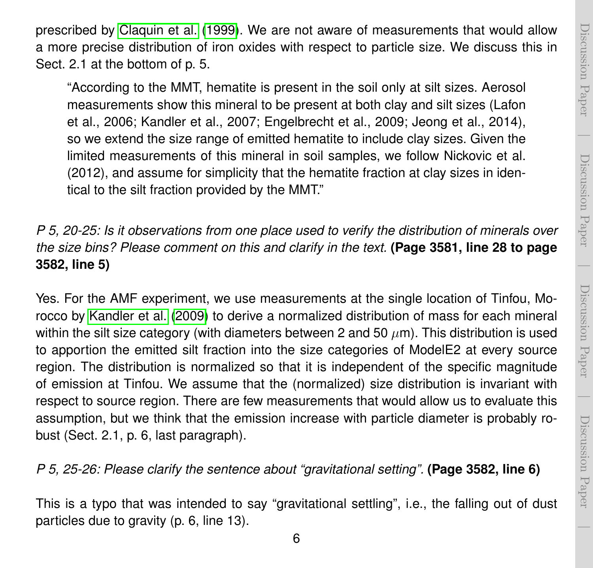$\overline{\phantom{a}}$ 

prescribed by [Claquin et al.](#page-12-0) [\(1999\)](#page-12-0). We are not aware of measurements that would allow a more precise distribution of iron oxides with respect to particle size. We discuss this in Sect. 2.1 at the bottom of p. 5.

"According to the MMT, hematite is present in the soil only at silt sizes. Aerosol measurements show this mineral to be present at both clay and silt sizes (Lafon et al., 2006; Kandler et al., 2007; Engelbrecht et al., 2009; Jeong et al., 2014), so we extend the size range of emitted hematite to include clay sizes. Given the limited measurements of this mineral in soil samples, we follow Nickovic et al. (2012), and assume for simplicity that the hematite fraction at clay sizes in identical to the silt fraction provided by the MMT."

*P 5, 20-25: Is it observations from one place used to verify the distribution of minerals over the size bins? Please comment on this and clarify in the text.* **(Page 3581, line 28 to page 3582, line 5)**

Yes. For the AMF experiment, we use measurements at the single location of Tinfou, Morocco by [Kandler et al.](#page-13-5) [\(2009\)](#page-13-5) to derive a normalized distribution of mass for each mineral within the silt size category (with diameters between 2 and 50  $\mu$ m). This distribution is used to apportion the emitted silt fraction into the size categories of ModelE2 at every source region. The distribution is normalized so that it is independent of the specific magnitude of emission at Tinfou. We assume that the (normalized) size distribution is invariant with respect to source region. There are few measurements that would allow us to evaluate this assumption, but we think that the emission increase with particle diameter is probably robust (Sect. 2.1, p. 6, last paragraph).

*P 5, 25-26: Please clarify the sentence about "gravitational setting".* **(Page 3582, line 6)**

This is a typo that was intended to say "gravitational settling", i.e., the falling out of dust particles due to gravity (p. 6, line 13).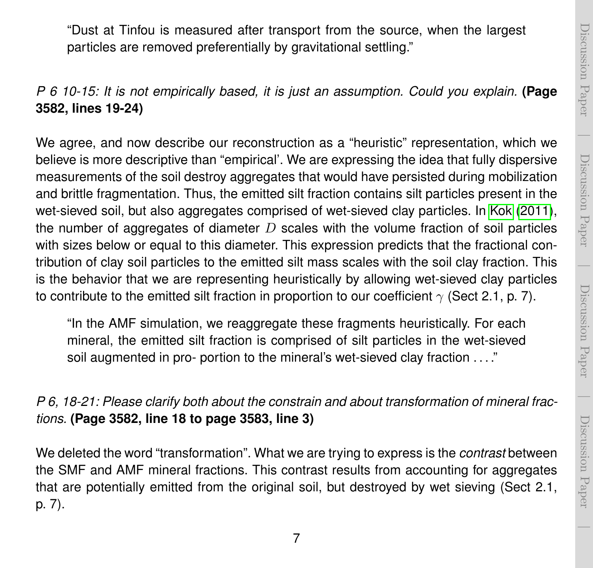$\overline{\phantom{a}}$ 

"Dust at Tinfou is measured after transport from the source, when the largest particles are removed preferentially by gravitational settling."

*P 6 10-15: It is not empirically based, it is just an assumption. Could you explain.* **(Page 3582, lines 19-24)**

We agree, and now describe our reconstruction as a "heuristic" representation, which we believe is more descriptive than "empirical'. We are expressing the idea that fully dispersive measurements of the soil destroy aggregates that would have persisted during mobilization and brittle fragmentation. Thus, the emitted silt fraction contains silt particles present in the wet-sieved soil, but also aggregates comprised of wet-sieved clay particles. In [Kok](#page-13-6) [\(2011\)](#page-13-6), the number of aggregates of diameter  $D$  scales with the volume fraction of soil particles with sizes below or equal to this diameter. This expression predicts that the fractional contribution of clay soil particles to the emitted silt mass scales with the soil clay fraction. This is the behavior that we are representing heuristically by allowing wet-sieved clay particles to contribute to the emitted silt fraction in proportion to our coefficient  $\gamma$  (Sect 2.1, p. 7).

"In the AMF simulation, we reaggregate these fragments heuristically. For each mineral, the emitted silt fraction is comprised of silt particles in the wet-sieved soil augmented in pro- portion to the mineral's wet-sieved clay fraction . . . ."

*P 6, 18-21: Please clarify both about the constrain and about transformation of mineral fractions.* **(Page 3582, line 18 to page 3583, line 3)**

We deleted the word "transformation". What we are trying to express is the *contrast* between the SMF and AMF mineral fractions. This contrast results from accounting for aggregates that are potentially emitted from the original soil, but destroyed by wet sieving (Sect 2.1, p. 7).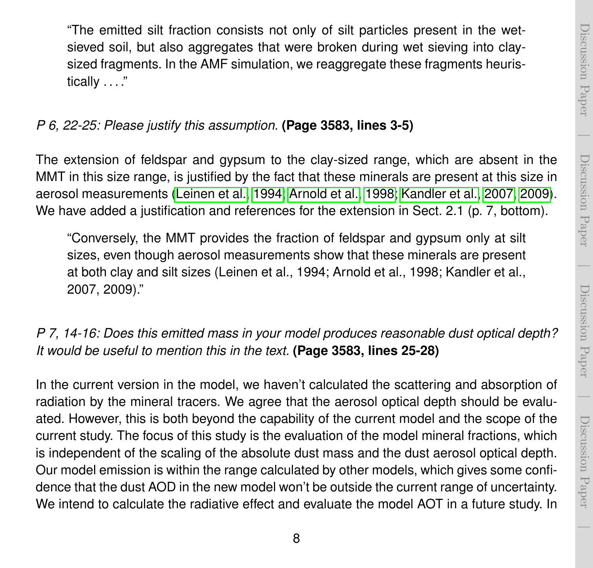$\overline{\phantom{a}}$ 

"The emitted silt fraction consists not only of silt particles present in the wetsieved soil, but also aggregates that were broken during wet sieving into claysized fragments. In the AMF simulation, we reaggregate these fragments heuristically . . . ."

### *P 6, 22-25: Please justify this assumption.* **(Page 3583, lines 3-5)**

The extension of feldspar and gypsum to the clay-sized range, which are absent in the MMT in this size range, is justified by the fact that these minerals are present at this size in aerosol measurements [\(Leinen et al., 1994;](#page-13-7) [Arnold et al., 1998;](#page-12-2) [Kandler et al., 2007,](#page-13-3) [2009\)](#page-13-5). We have added a justification and references for the extension in Sect. 2.1 (p. 7, bottom).

"Conversely, the MMT provides the fraction of feldspar and gypsum only at silt sizes, even though aerosol measurements show that these minerals are present at both clay and silt sizes (Leinen et al., 1994; Arnold et al., 1998; Kandler et al., 2007, 2009)."

## *P 7, 14-16: Does this emitted mass in your model produces reasonable dust optical depth? It would be useful to mention this in the text.* **(Page 3583, lines 25-28)**

In the current version in the model, we haven't calculated the scattering and absorption of radiation by the mineral tracers. We agree that the aerosol optical depth should be evaluated. However, this is both beyond the capability of the current model and the scope of the current study. The focus of this study is the evaluation of the model mineral fractions, which is independent of the scaling of the absolute dust mass and the dust aerosol optical depth. Our model emission is within the range calculated by other models, which gives some confidence that the dust AOD in the new model won't be outside the current range of uncertainty. We intend to calculate the radiative effect and evaluate the model AOT in a future study. In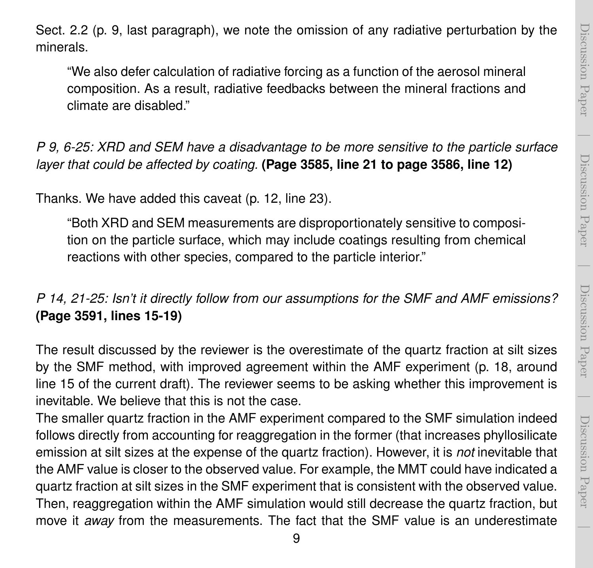$\overline{\phantom{a}}$ 

Sect. 2.2 (p. 9, last paragraph), we note the omission of any radiative perturbation by the minerals.

"We also defer calculation of radiative forcing as a function of the aerosol mineral composition. As a result, radiative feedbacks between the mineral fractions and climate are disabled."

*P 9, 6-25: XRD and SEM have a disadvantage to be more sensitive to the particle surface layer that could be affected by coating.* **(Page 3585, line 21 to page 3586, line 12)**

Thanks. We have added this caveat (p. 12, line 23).

"Both XRD and SEM measurements are disproportionately sensitive to composition on the particle surface, which may include coatings resulting from chemical reactions with other species, compared to the particle interior."

*P 14, 21-25: Isn't it directly follow from our assumptions for the SMF and AMF emissions?* **(Page 3591, lines 15-19)**

The result discussed by the reviewer is the overestimate of the quartz fraction at silt sizes by the SMF method, with improved agreement within the AMF experiment (p. 18, around line 15 of the current draft). The reviewer seems to be asking whether this improvement is inevitable. We believe that this is not the case.

The smaller quartz fraction in the AMF experiment compared to the SMF simulation indeed follows directly from accounting for reaggregation in the former (that increases phyllosilicate emission at silt sizes at the expense of the quartz fraction). However, it is *not* inevitable that the AMF value is closer to the observed value. For example, the MMT could have indicated a quartz fraction at silt sizes in the SMF experiment that is consistent with the observed value. Then, reaggregation within the AMF simulation would still decrease the quartz fraction, but move it *away* from the measurements. The fact that the SMF value is an underestimate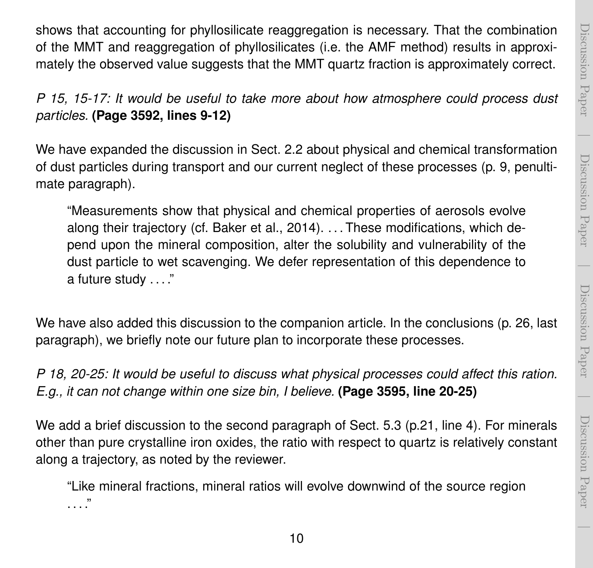$\overline{\phantom{a}}$ 

Discussion Paper

Discussion Paper

shows that accounting for phyllosilicate reaggregation is necessary. That the combination of the MMT and reaggregation of phyllosilicates (i.e. the AMF method) results in approximately the observed value suggests that the MMT quartz fraction is approximately correct.

*P 15, 15-17: It would be useful to take more about how atmosphere could process dust particles.* **(Page 3592, lines 9-12)**

We have expanded the discussion in Sect. 2.2 about physical and chemical transformation of dust particles during transport and our current neglect of these processes (p. 9, penultimate paragraph).

"Measurements show that physical and chemical properties of aerosols evolve along their trajectory (cf. Baker et al., 2014). . . . These modifications, which depend upon the mineral composition, alter the solubility and vulnerability of the dust particle to wet scavenging. We defer representation of this dependence to a future study . . . ."

We have also added this discussion to the companion article. In the conclusions (p. 26, last paragraph), we briefly note our future plan to incorporate these processes.

*P 18, 20-25: It would be useful to discuss what physical processes could affect this ration. E.g., it can not change within one size bin, I believe.* **(Page 3595, line 20-25)**

We add a brief discussion to the second paragraph of Sect. 5.3 (p.21, line 4). For minerals other than pure crystalline iron oxides, the ratio with respect to quartz is relatively constant along a trajectory, as noted by the reviewer.

"Like mineral fractions, mineral ratios will evolve downwind of the source region . . . ."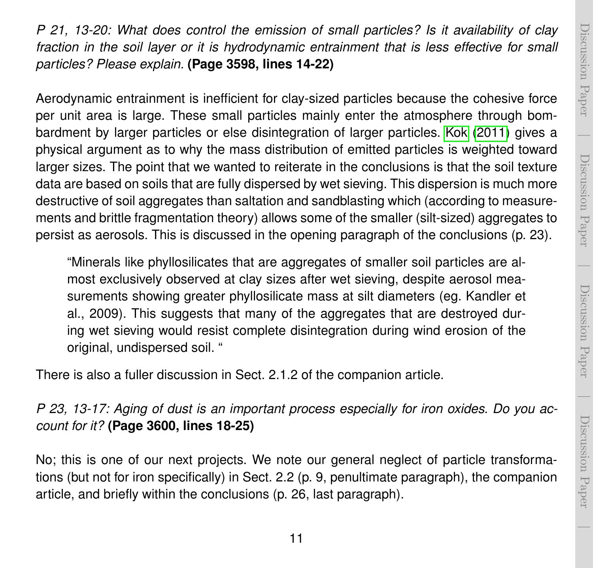*P 21, 13-20: What does control the emission of small particles? Is it availability of clay fraction in the soil layer or it is hydrodynamic entrainment that is less effective for small particles? Please explain.* **(Page 3598, lines 14-22)**

Aerodynamic entrainment is inefficient for clay-sized particles because the cohesive force per unit area is large. These small particles mainly enter the atmosphere through bombardment by larger particles or else disintegration of larger particles. [Kok](#page-13-6) [\(2011\)](#page-13-6) gives a physical argument as to why the mass distribution of emitted particles is weighted toward larger sizes. The point that we wanted to reiterate in the conclusions is that the soil texture data are based on soils that are fully dispersed by wet sieving. This dispersion is much more destructive of soil aggregates than saltation and sandblasting which (according to measurements and brittle fragmentation theory) allows some of the smaller (silt-sized) aggregates to persist as aerosols. This is discussed in the opening paragraph of the conclusions (p. 23).

"Minerals like phyllosilicates that are aggregates of smaller soil particles are almost exclusively observed at clay sizes after wet sieving, despite aerosol measurements showing greater phyllosilicate mass at silt diameters (eg. Kandler et al., 2009). This suggests that many of the aggregates that are destroyed during wet sieving would resist complete disintegration during wind erosion of the original, undispersed soil. "

There is also a fuller discussion in Sect. 2.1.2 of the companion article.

## *P 23, 13-17: Aging of dust is an important process especially for iron oxides. Do you account for it?* **(Page 3600, lines 18-25)**

No; this is one of our next projects. We note our general neglect of particle transformations (but not for iron specifically) in Sect. 2.2 (p. 9, penultimate paragraph), the companion article, and briefly within the conclusions (p. 26, last paragraph).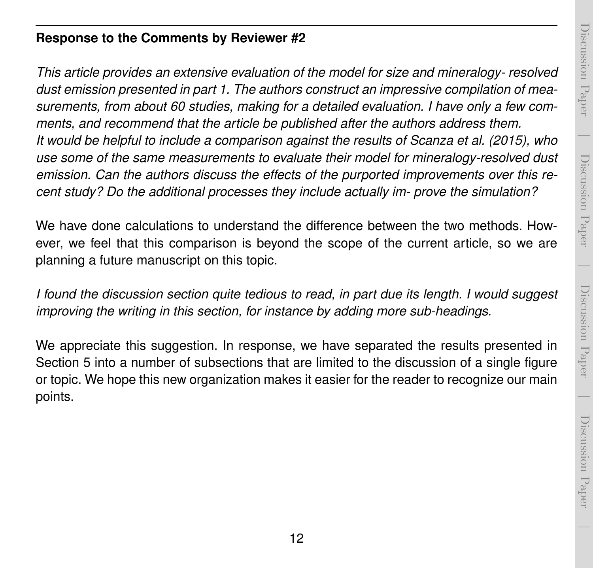# Discussion PaperDiscussion Paper

 $\overline{\phantom{a}}$ 

 $\overline{\phantom{a}}$ 

## **Response to the Comments by Reviewer #2**

*This article provides an extensive evaluation of the model for size and mineralogy- resolved dust emission presented in part 1. The authors construct an impressive compilation of measurements, from about 60 studies, making for a detailed evaluation. I have only a few comments, and recommend that the article be published after the authors address them. It would be helpful to include a comparison against the results of Scanza et al. (2015), who use some of the same measurements to evaluate their model for mineralogy-resolved dust emission. Can the authors discuss the effects of the purported improvements over this recent study? Do the additional processes they include actually im- prove the simulation?*

We have done calculations to understand the difference between the two methods. However, we feel that this comparison is beyond the scope of the current article, so we are planning a future manuscript on this topic.

*I found the discussion section quite tedious to read, in part due its length. I would suggest improving the writing in this section, for instance by adding more sub-headings.*

We appreciate this suggestion. In response, we have separated the results presented in Section 5 into a number of subsections that are limited to the discussion of a single figure or topic. We hope this new organization makes it easier for the reader to recognize our main points.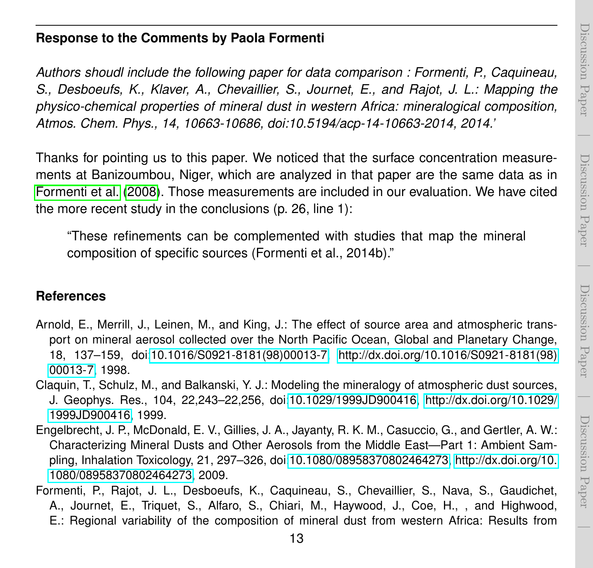$\overline{\phantom{a}}$ 

#### **Response to the Comments by Paola Formenti**

*Authors shoudl include the following paper for data comparison : Formenti, P., Caquineau, S., Desboeufs, K., Klaver, A., Chevaillier, S., Journet, E., and Rajot, J. L.: Mapping the physico-chemical properties of mineral dust in western Africa: mineralogical composition, Atmos. Chem. Phys., 14, 10663-10686, doi:10.5194/acp-14-10663-2014, 2014.'*

Thanks for pointing us to this paper. We noticed that the surface concentration measurements at Banizoumbou, Niger, which are analyzed in that paper are the same data as in [Formenti et al.](#page-12-3) [\(2008\)](#page-12-3). Those measurements are included in our evaluation. We have cited the more recent study in the conclusions (p. 26, line 1):

"These refinements can be complemented with studies that map the mineral composition of specific sources (Formenti et al., 2014b)."

#### **References**

- <span id="page-12-2"></span>Arnold, E., Merrill, J., Leinen, M., and King, J.: The effect of source area and atmospheric transport on mineral aerosol collected over the North Pacific Ocean, Global and Planetary Change, 18, 137–159, doi[:10.1016/S0921-8181\(98\)00013-7, http://dx.doi.org/10.1016/S0921-8181\(98\)](http://dx.doi.org/10.1016/S0921-8181(98)00013-7) [00013-7,](http://dx.doi.org/10.1016/S0921-8181(98)00013-7) 1998.
- <span id="page-12-0"></span>Claquin, T., Schulz, M., and Balkanski, Y. J.: Modeling the mineralogy of atmospheric dust sources, J. Geophys. Res., 104, 22,243–22,256, doi[:10.1029/1999JD900416, http://dx.doi.org/10.1029/](http://dx.doi.org/10.1029/1999JD900416) [1999JD900416,](http://dx.doi.org/10.1029/1999JD900416) 1999.
- <span id="page-12-1"></span>Engelbrecht, J. P., McDonald, E. V., Gillies, J. A., Jayanty, R. K. M., Casuccio, G., and Gertler, A. W.: Characterizing Mineral Dusts and Other Aerosols from the Middle East—Part 1: Ambient Sampling, Inhalation Toxicology, 21, 297–326, doi[:10.1080/08958370802464273, http://dx.doi.org/10.](http://dx.doi.org/10.1080/08958370802464273) [1080/08958370802464273,](http://dx.doi.org/10.1080/08958370802464273) 2009.
- <span id="page-12-3"></span>Formenti, P., Rajot, J. L., Desboeufs, K., Caquineau, S., Chevaillier, S., Nava, S., Gaudichet, A., Journet, E., Triquet, S., Alfaro, S., Chiari, M., Haywood, J., Coe, H., , and Highwood, E.: Regional variability of the composition of mineral dust from western Africa: Results from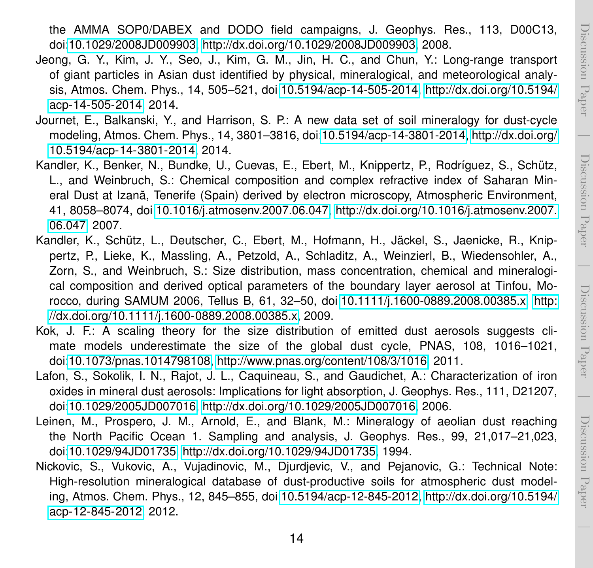the AMMA SOP0/DABEX and DODO field campaigns, J. Geophys. Res., 113, D00C13, doi[:10.1029/2008JD009903, http://dx.doi.org/10.1029/2008JD009903,](http://dx.doi.org/10.1029/2008JD009903) 2008.

- <span id="page-13-4"></span>Jeong, G. Y., Kim, J. Y., Seo, J., Kim, G. M., Jin, H. C., and Chun, Y.: Long-range transport of giant particles in Asian dust identified by physical, mineralogical, and meteorological analysis, Atmos. Chem. Phys., 14, 505–521, doi[:10.5194/acp-14-505-2014, http://dx.doi.org/10.5194/](http://dx.doi.org/10.5194/acp-14-505-2014) [acp-14-505-2014,](http://dx.doi.org/10.5194/acp-14-505-2014) 2014.
- <span id="page-13-1"></span>Journet, E., Balkanski, Y., and Harrison, S. P.: A new data set of soil mineralogy for dust-cycle modeling, Atmos. Chem. Phys., 14, 3801–3816, doi[:10.5194/acp-14-3801-2014, http://dx.doi.org/](http://dx.doi.org/10.5194/acp-14-3801-2014) [10.5194/acp-14-3801-2014,](http://dx.doi.org/10.5194/acp-14-3801-2014) 2014.
- <span id="page-13-3"></span>Kandler, K., Benker, N., Bundke, U., Cuevas, E., Ebert, M., Knippertz, P., Rodríguez, S., Schütz, L., and Weinbruch, S.: Chemical composition and complex refractive index of Saharan Mineral Dust at Izanã, Tenerife (Spain) derived by electron microscopy, Atmospheric Environment, 41, 8058–8074, doi[:10.1016/j.atmosenv.2007.06.047, http://dx.doi.org/10.1016/j.atmosenv.2007.](http://dx.doi.org/10.1016/j.atmosenv.2007.06.047) [06.047,](http://dx.doi.org/10.1016/j.atmosenv.2007.06.047) 2007.
- <span id="page-13-5"></span>Kandler, K., Schütz, L., Deutscher, C., Ebert, M., Hofmann, H., Jäckel, S., Jaenicke, R., Knippertz, P., Lieke, K., Massling, A., Petzold, A., Schladitz, A., Weinzierl, B., Wiedensohler, A., Zorn, S., and Weinbruch, S.: Size distribution, mass concentration, chemical and mineralogical composition and derived optical parameters of the boundary layer aerosol at Tinfou, Morocco, during SAMUM 2006, Tellus B, 61, 32–50, doi[:10.1111/j.1600-0889.2008.00385.x, http:](http://dx.doi.org/10.1111/j.1600-0889.2008.00385.x) [//dx.doi.org/10.1111/j.1600-0889.2008.00385.x,](http://dx.doi.org/10.1111/j.1600-0889.2008.00385.x) 2009.
- <span id="page-13-6"></span>Kok, J. F.: A scaling theory for the size distribution of emitted dust aerosols suggests climate models underestimate the size of the global dust cycle, PNAS, 108, 1016–1021, doi[:10.1073/pnas.1014798108,](http://dx.doi.org/10.1073/pnas.1014798108) [http://www.pnas.org/content/108/3/1016,](http://www.pnas.org/content/108/3/1016) 2011.
- <span id="page-13-2"></span>Lafon, S., Sokolik, I. N., Rajot, J. L., Caquineau, S., and Gaudichet, A.: Characterization of iron oxides in mineral dust aerosols: Implications for light absorption, J. Geophys. Res., 111, D21207, doi[:10.1029/2005JD007016, http://dx.doi.org/10.1029/2005JD007016,](http://dx.doi.org/10.1029/2005JD007016) 2006.
- <span id="page-13-7"></span>Leinen, M., Prospero, J. M., Arnold, E., and Blank, M.: Mineralogy of aeolian dust reaching the North Pacific Ocean 1. Sampling and analysis, J. Geophys. Res., 99, 21,017–21,023, doi[:10.1029/94JD01735, http://dx.doi.org/10.1029/94JD01735,](http://dx.doi.org/10.1029/94JD01735) 1994.
- <span id="page-13-0"></span>Nickovic, S., Vukovic, A., Vujadinovic, M., Djurdjevic, V., and Pejanovic, G.: Technical Note: High-resolution mineralogical database of dust-productive soils for atmospheric dust modeling, Atmos. Chem. Phys., 12, 845–855, doi[:10.5194/acp-12-845-2012, http://dx.doi.org/10.5194/](http://dx.doi.org/10.5194/acp-12-845-2012) [acp-12-845-2012,](http://dx.doi.org/10.5194/acp-12-845-2012) 2012.